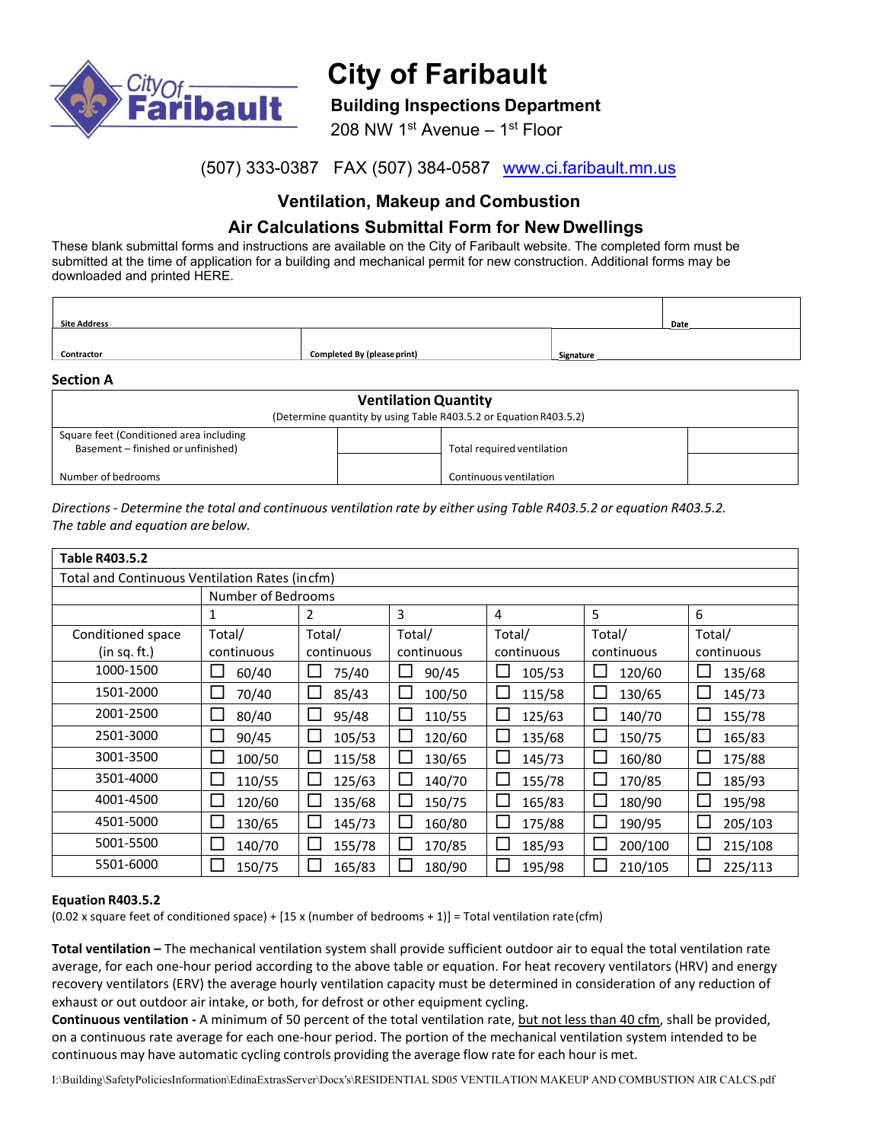

# **City of Faribault**

## **Building Inspections Department**

208 NW 1st Avenue – 1st Floor

## (507) 333-0387 FAX (507) 384-0587 www.ci.faribault.mn.us

# **Ventilation, Makeup and Combustion**

# **Air Calculations Submittal Form for New Dwellings**

These blank submittal forms and instructions are available on the City of Faribault website. The completed form must be submitted at the time of application for a building and mechanical permit for new construction. Additional forms may be downloaded and printed HERE.

| <b>Site Address</b> |                                    |            | Date |
|---------------------|------------------------------------|------------|------|
| Contractor          | <b>Completed By (please print)</b> | _Signature |      |

**Section A**

| <b>Ventilation Quantity</b><br>(Determine quantity by using Table R403.5.2 or Equation R403.5.2) |                            |  |  |  |  |  |
|--------------------------------------------------------------------------------------------------|----------------------------|--|--|--|--|--|
| Square feet (Conditioned area including<br>Basement - finished or unfinished)                    | Total required ventilation |  |  |  |  |  |
| Number of bedrooms                                                                               | Continuous ventilation     |  |  |  |  |  |

Directions - Determine the total and continuous ventilation rate by either using Table R403.5.2 or equation R403.5.2. *The table and equation arebelow.*

| <b>Table R403.5.2</b>                          |                        |                        |                        |                        |                  |            |
|------------------------------------------------|------------------------|------------------------|------------------------|------------------------|------------------|------------|
| Total and Continuous Ventilation Rates (incfm) |                        |                        |                        |                        |                  |            |
|                                                | Number of Bedrooms     |                        |                        |                        |                  |            |
|                                                | 1                      | 2                      | 3                      | 4                      | 5                | 6          |
| Conditioned space                              | Total/                 | Total/                 | Total/                 | Total/                 | Total/           | Total/     |
| (in sq. ft.)                                   | continuous             | continuous             | continuous             | continuous             | continuous       | continuous |
| 1000-1500                                      | $\mathbf{L}$<br>60/40  | 75/40<br>$\Box$        | 90/45<br>$\Box$        | 105/53                 | L<br>120/60      | 135/68     |
| 1501-2000                                      | $\Box$<br>70/40        | $\Box$<br>85/43        | L<br>100/50            | 115/58<br>$\mathbf{L}$ | $\Box$<br>130/65 | 145/73     |
| 2001-2500                                      | 80/40<br>$\Box$        | $\Box$<br>95/48        | 110/55<br>$\Box$       | 125/63                 | 140/70<br>L      | 155/78     |
| 2501-3000                                      | $\mathsf{L}$<br>90/45  | $\Box$<br>105/53       | 120/60<br>$\mathbf{L}$ | 135/68                 | ⊏<br>150/75      | 165/83     |
| 3001-3500                                      | $\Box$<br>100/50       | 115/58<br>ட            | 130/65                 | 145/73                 | 160/80           | 175/88     |
| 3501-4000                                      | 110/55<br>$\mathsf{L}$ | $\Box$<br>125/63       | $\Box$<br>140/70       | 155/78                 | 170/85<br>L      | 185/93     |
| 4001-4500                                      | 120/60<br>$\Box$       | 135/68<br>$\mathbf{L}$ | 150/75                 | 165/83                 | 180/90<br>∟      | 195/98     |
| 4501-5000                                      | П<br>130/65            | $\Box$<br>145/73       | 160/80<br>L            | 175/88<br>$\mathbf{L}$ | ⊏<br>190/95      | 205/103    |
| 5001-5500                                      | $\Box$<br>140/70       | $\Box$<br>155/78       | 170/85                 | 185/93<br>$\mathbf{L}$ | 200/100<br>└     | 215/108    |
| 5501-6000                                      | 150/75                 | 165/83                 | 180/90                 | 195/98                 | 210/105          | 225/113    |

## **Equation R403.5.2**

 $(0.02 \times \text{square feet of conditioned space}) + [15 \times (\text{number of bedrooms + 1})] = \text{Total ventilation rate}(\text{cfm})$ 

**Total ventilation –** The mechanical ventilation system shall provide sufficient outdoor air to equal the total ventilation rate average, for each one‐hour period according to the above table or equation. For heat recovery ventilators (HRV) and energy recovery ventilators (ERV) the average hourly ventilation capacity must be determined in consideration of any reduction of exhaust or out outdoor air intake, or both, for defrost or other equipment cycling.

**Continuous ventilation ‐** A minimum of 50 percent of the total ventilation rate, but not less than 40 cfm, shall be provided, on a continuous rate average for each one‐hour period. The portion of the mechanical ventilation system intended to be continuous may have automatic cycling controls providing the average flow rate for each hour is met.

I:\Building\SafetyPoliciesInformation\EdinaExtrasServer\Docx's\RESIDENTIAL SD05 VENTILATION MAKEUP AND COMBUSTION AIR CALCS.pdf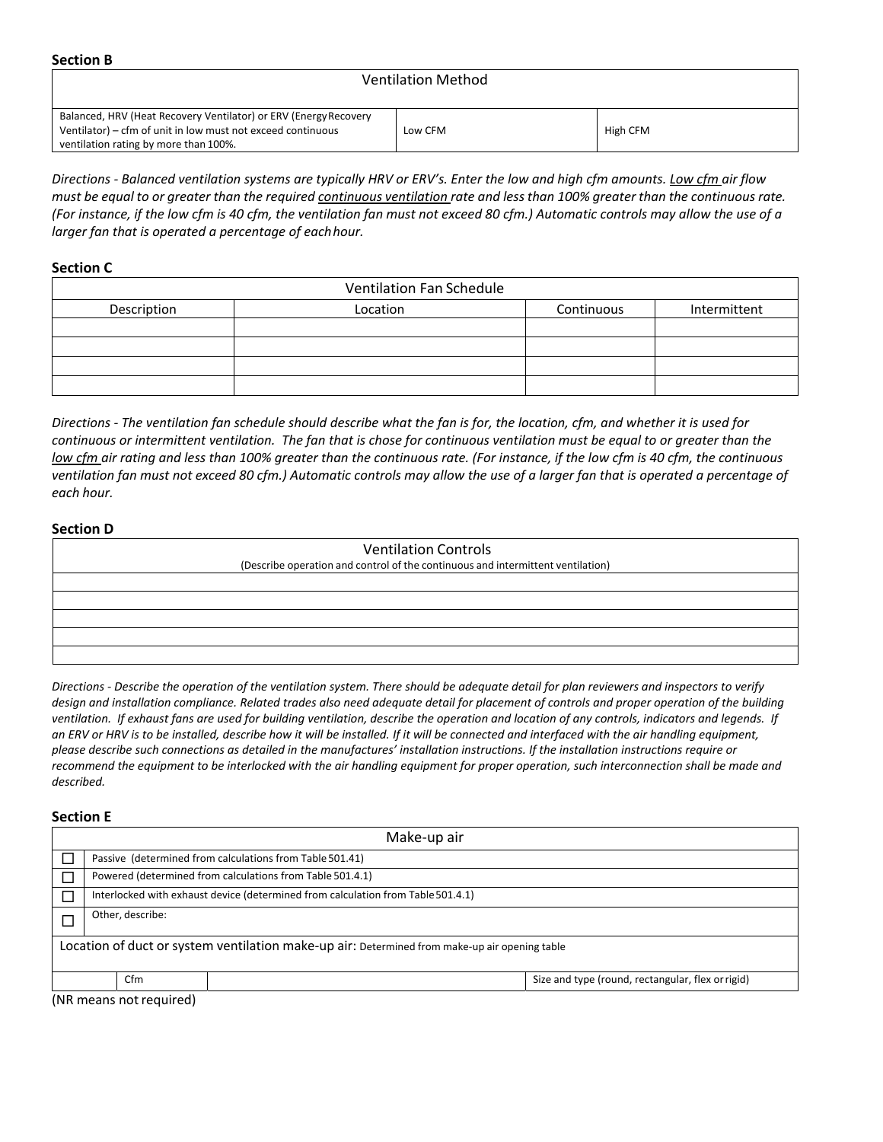**Section B**

## Ventilation Method

| Balanced, HRV (Heat Recovery Ventilator) or ERV (Energy Recovery |         |          |
|------------------------------------------------------------------|---------|----------|
| Ventilator) – cfm of unit in low must not exceed continuous      | Low CFM | High CFM |
| ventilation rating by more than 100%.                            |         |          |

Directions - Balanced ventilation systems are typically HRV or ERV's. Enter the low and high cfm amounts. Low cfm air flow must be equal to or greater than the required continuous ventilation rate and less than 100% greater than the continuous rate. (For instance, if the low cfm is 40 cfm, the ventilation fan must not exceed 80 cfm.) Automatic controls may allow the use of a *larger fan that is operated a percentage of eachhour.*

#### **Section C**

| <b>Ventilation Fan Schedule</b> |          |            |              |  |  |
|---------------------------------|----------|------------|--------------|--|--|
| Description                     | Location | Continuous | Intermittent |  |  |
|                                 |          |            |              |  |  |
|                                 |          |            |              |  |  |
|                                 |          |            |              |  |  |
|                                 |          |            |              |  |  |

Directions - The ventilation fan schedule should describe what the fan is for, the location, cfm, and whether it is used for continuous or intermittent ventilation. The fan that is chose for continuous ventilation must be equal to or greater than the low cfm air rating and less than 100% greater than the continuous rate. (For instance, if the low cfm is 40 cfm, the continuous ventilation fan must not exceed 80 cfm.) Automatic controls may allow the use of a larger fan that is operated a percentage of *each hour.*

#### **Section D**

| <b>Ventilation Controls</b>                                                     |  |  |  |  |  |
|---------------------------------------------------------------------------------|--|--|--|--|--|
| (Describe operation and control of the continuous and intermittent ventilation) |  |  |  |  |  |
|                                                                                 |  |  |  |  |  |
|                                                                                 |  |  |  |  |  |
|                                                                                 |  |  |  |  |  |
|                                                                                 |  |  |  |  |  |
|                                                                                 |  |  |  |  |  |

Directions - Describe the operation of the ventilation system. There should be adequate detail for plan reviewers and inspectors to verify design and installation compliance. Related trades also need adequate detail for placement of controls and proper operation of the building ventilation. If exhaust fans are used for building ventilation, describe the operation and location of any controls, indicators and legends. If an ERV or HRV is to be installed, describe how it will be installed. If it will be connected and interfaced with the air handling equipment, please describe such connections as detailed in the manufactures' installation instructions. If the installation instructions require or recommend the equipment to be interlocked with the air handling equipment for proper operation, such interconnection shall be made and *described.*

#### **Section E**

| Make-up air                                                                                   |                                                                                  |                                                   |  |  |  |
|-----------------------------------------------------------------------------------------------|----------------------------------------------------------------------------------|---------------------------------------------------|--|--|--|
|                                                                                               | Passive (determined from calculations from Table 501.41)                         |                                                   |  |  |  |
|                                                                                               | Powered (determined from calculations from Table 501.4.1)                        |                                                   |  |  |  |
|                                                                                               | Interlocked with exhaust device (determined from calculation from Table 501.4.1) |                                                   |  |  |  |
| Other, describe:                                                                              |                                                                                  |                                                   |  |  |  |
| Location of duct or system ventilation make-up air: Determined from make-up air opening table |                                                                                  |                                                   |  |  |  |
| Cfm                                                                                           |                                                                                  | Size and type (round, rectangular, flex or rigid) |  |  |  |

(NR means notrequired)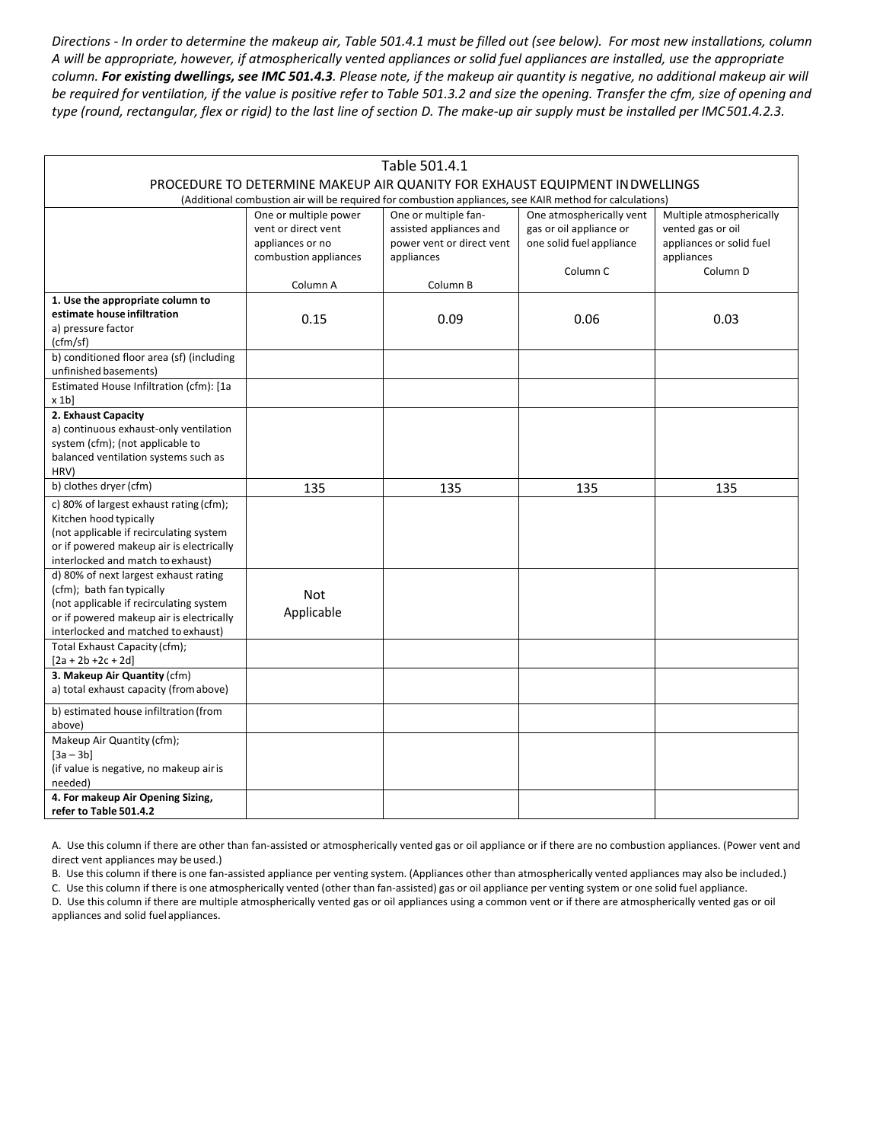Directions - In order to determine the makeup air, Table 501.4.1 must be filled out (see below). For most new installations, column A will be appropriate, however, if atmospherically vented appliances or solid fuel appliances are installed, use the appropriate column. For existing dwellings, see IMC 501.4.3. Please note, if the makeup air quantity is negative, no additional makeup air will be required for ventilation, if the value is positive refer to Table 501.3.2 and size the opening. Transfer the cfm, size of opening and type (round, rectangular, flex or rigid) to the last line of section D. The make-up air supply must be installed per IMC501.4.2.3.

| Table 501.4.1                                                                                                                                                                                    |                                                                                           |                                                                                            |                                                                                             |                                                                                                     |  |  |
|--------------------------------------------------------------------------------------------------------------------------------------------------------------------------------------------------|-------------------------------------------------------------------------------------------|--------------------------------------------------------------------------------------------|---------------------------------------------------------------------------------------------|-----------------------------------------------------------------------------------------------------|--|--|
| PROCEDURE TO DETERMINE MAKEUP AIR QUANITY FOR EXHAUST EQUIPMENT IN DWELLINGS<br>(Additional combustion air will be required for combustion appliances, see KAIR method for calculations)         |                                                                                           |                                                                                            |                                                                                             |                                                                                                     |  |  |
|                                                                                                                                                                                                  | One or multiple power<br>vent or direct vent<br>appliances or no<br>combustion appliances | One or multiple fan-<br>assisted appliances and<br>power vent or direct vent<br>appliances | One atmospherically vent<br>gas or oil appliance or<br>one solid fuel appliance<br>Column C | Multiple atmospherically<br>vented gas or oil<br>appliances or solid fuel<br>appliances<br>Column D |  |  |
|                                                                                                                                                                                                  | Column A                                                                                  | Column B                                                                                   |                                                                                             |                                                                                                     |  |  |
| 1. Use the appropriate column to<br>estimate house infiltration<br>a) pressure factor<br>(cfm/sf)                                                                                                | 0.15                                                                                      | 0.09                                                                                       | 0.06                                                                                        | 0.03                                                                                                |  |  |
| b) conditioned floor area (sf) (including<br>unfinished basements)                                                                                                                               |                                                                                           |                                                                                            |                                                                                             |                                                                                                     |  |  |
| Estimated House Infiltration (cfm): [1a<br>x 1b                                                                                                                                                  |                                                                                           |                                                                                            |                                                                                             |                                                                                                     |  |  |
| 2. Exhaust Capacity<br>a) continuous exhaust-only ventilation<br>system (cfm); (not applicable to<br>balanced ventilation systems such as<br>HRV)                                                |                                                                                           |                                                                                            |                                                                                             |                                                                                                     |  |  |
| b) clothes dryer (cfm)                                                                                                                                                                           | 135                                                                                       | 135                                                                                        | 135                                                                                         | 135                                                                                                 |  |  |
| c) 80% of largest exhaust rating (cfm);<br>Kitchen hood typically<br>(not applicable if recirculating system<br>or if powered makeup air is electrically<br>interlocked and match to exhaust)    |                                                                                           |                                                                                            |                                                                                             |                                                                                                     |  |  |
| d) 80% of next largest exhaust rating<br>(cfm); bath fan typically<br>(not applicable if recirculating system<br>or if powered makeup air is electrically<br>interlocked and matched to exhaust) | <b>Not</b><br>Applicable                                                                  |                                                                                            |                                                                                             |                                                                                                     |  |  |
| Total Exhaust Capacity (cfm);<br>$[2a + 2b + 2c + 2d]$                                                                                                                                           |                                                                                           |                                                                                            |                                                                                             |                                                                                                     |  |  |
| 3. Makeup Air Quantity (cfm)<br>a) total exhaust capacity (from above)                                                                                                                           |                                                                                           |                                                                                            |                                                                                             |                                                                                                     |  |  |
| b) estimated house infiltration (from<br>above)                                                                                                                                                  |                                                                                           |                                                                                            |                                                                                             |                                                                                                     |  |  |
| Makeup Air Quantity (cfm);<br>$[3a - 3b]$<br>(if value is negative, no makeup air is<br>needed)                                                                                                  |                                                                                           |                                                                                            |                                                                                             |                                                                                                     |  |  |
| 4. For makeup Air Opening Sizing,<br>refer to Table 501.4.2                                                                                                                                      |                                                                                           |                                                                                            |                                                                                             |                                                                                                     |  |  |

A. Use this column if there are other than fan-assisted or atmospherically vented gas or oil appliance or if there are no combustion appliances. (Power vent and direct vent appliances may be used.)

B. Use this column if there is one fan‐assisted appliance per venting system. (Appliances other than atmospherically vented appliances may also be included.)

C. Use this column if there is one atmospherically vented (other than fan‐assisted) gas or oil appliance per venting system or one solid fuel appliance.

D. Use this column if there are multiple atmospherically vented gas or oil appliances using a common vent or if there are atmospherically vented gas or oil appliances and solid fuelappliances.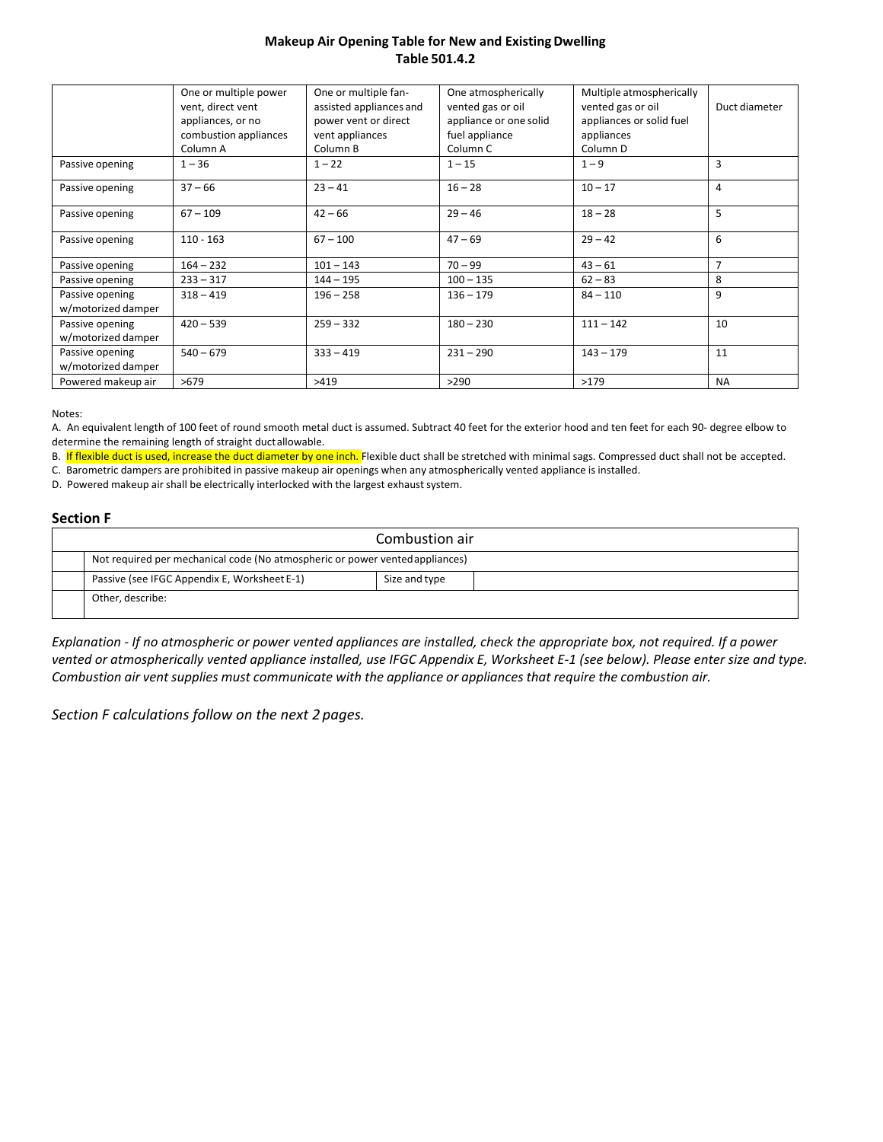## **Makeup Air Opening Table for New and ExistingDwelling Table 501.4.2**

|                                       | One or multiple power<br>vent, direct vent<br>appliances, or no<br>combustion appliances<br>Column A | One or multiple fan-<br>assisted appliances and<br>power vent or direct<br>vent appliances<br>Column B | One atmospherically<br>vented gas or oil<br>appliance or one solid<br>fuel appliance<br>Column <sub>C</sub> | Multiple atmospherically<br>vented gas or oil<br>appliances or solid fuel<br>appliances<br>Column D | Duct diameter  |
|---------------------------------------|------------------------------------------------------------------------------------------------------|--------------------------------------------------------------------------------------------------------|-------------------------------------------------------------------------------------------------------------|-----------------------------------------------------------------------------------------------------|----------------|
| Passive opening                       | $1 - 36$                                                                                             | $1 - 22$                                                                                               | $1 - 15$                                                                                                    | $1 - 9$                                                                                             | 3              |
| Passive opening                       | $37 - 66$                                                                                            | $23 - 41$                                                                                              | $16 - 28$                                                                                                   | $10 - 17$                                                                                           | 4              |
| Passive opening                       | $67 - 109$                                                                                           | $42 - 66$                                                                                              | $29 - 46$                                                                                                   | $18 - 28$                                                                                           | 5              |
| Passive opening                       | $110 - 163$                                                                                          | $67 - 100$                                                                                             | $47 - 69$                                                                                                   | $29 - 42$                                                                                           | 6              |
| Passive opening                       | $164 - 232$                                                                                          | $101 - 143$                                                                                            | $70 - 99$                                                                                                   | $43 - 61$                                                                                           | $\overline{7}$ |
| Passive opening                       | $233 - 317$                                                                                          | $144 - 195$                                                                                            | $100 - 135$                                                                                                 | $62 - 83$                                                                                           | 8              |
| Passive opening<br>w/motorized damper | $318 - 419$                                                                                          | $196 - 258$                                                                                            | $136 - 179$                                                                                                 | $84 - 110$                                                                                          | 9              |
| Passive opening<br>w/motorized damper | $420 - 539$                                                                                          | $259 - 332$                                                                                            | $180 - 230$                                                                                                 | $111 - 142$                                                                                         | 10             |
| Passive opening<br>w/motorized damper | $540 - 679$                                                                                          | $333 - 419$                                                                                            | $231 - 290$                                                                                                 | $143 - 179$                                                                                         | 11             |
| Powered makeup air                    | >679                                                                                                 | >419                                                                                                   | >290                                                                                                        | >179                                                                                                | <b>NA</b>      |

Notes:

A. An equivalent length of 100 feet of round smooth metal duct is assumed. Subtract 40 feet for the exterior hood and ten feet for each 90‐ degree elbow to determine the remaining length of straight ductallowable.

B. If flexible duct is used, increase the duct diameter by one inch. Flexible duct shall be stretched with minimal sags. Compressed duct shall not be accepted.

C. Barometric dampers are prohibited in passive makeup air openings when any atmospherically vented appliance is installed.

D. Powered makeup air shall be electrically interlocked with the largest exhaust system.

#### **Section F**

| Combustion air                                                               |               |  |  |  |
|------------------------------------------------------------------------------|---------------|--|--|--|
| Not required per mechanical code (No atmospheric or power vented appliances) |               |  |  |  |
| Passive (see IFGC Appendix E, Worksheet E-1)                                 | Size and type |  |  |  |
| Other, describe:                                                             |               |  |  |  |

Explanation - If no atmospheric or power vented appliances are installed, check the appropriate box, not required. If a power vented or atmospherically vented appliance installed, use IFGC Appendix E, Worksheet E-1 (see below). Please enter size and type. *Combustion air vent supplies must communicate with the appliance or appliances that require the combustion air.*

*Section F calculations follow on the next 2 pages.*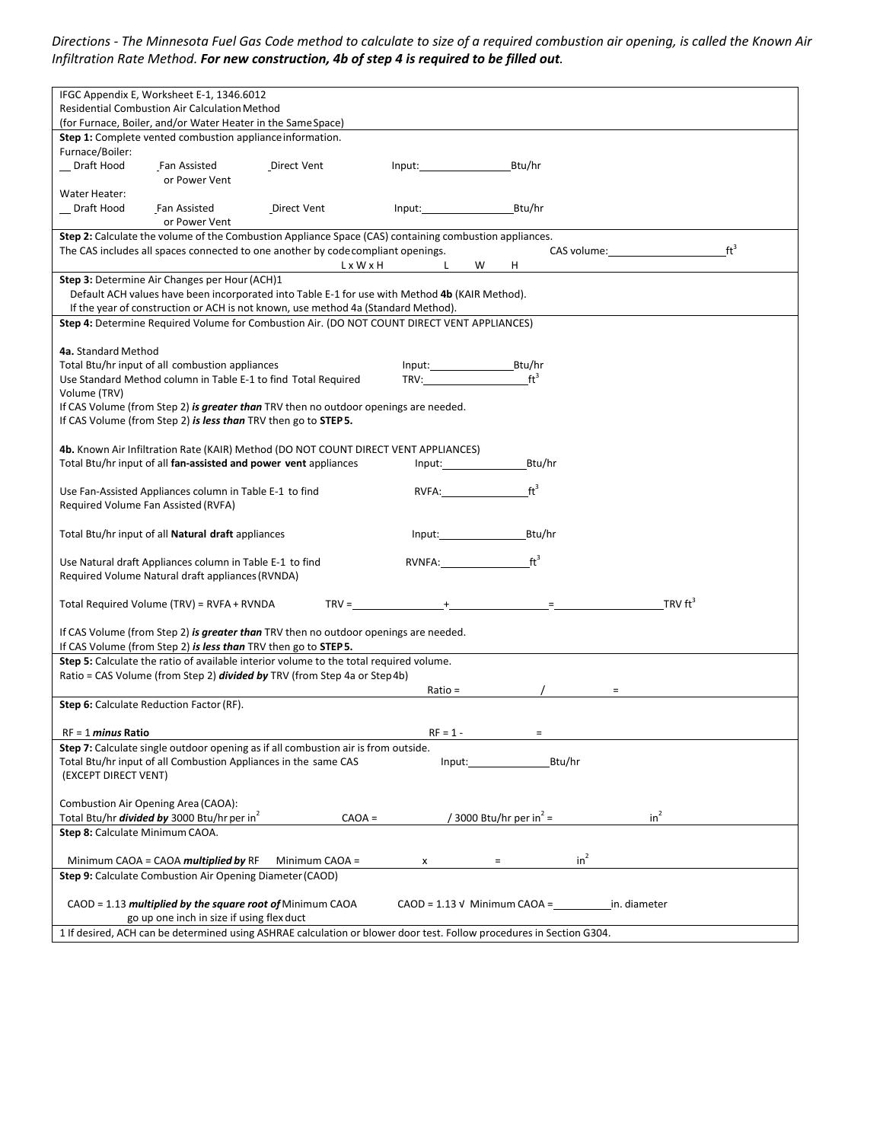Directions - The Minnesota Fuel Gas Code method to calculate to size of a required combustion air opening, is called the Known Air *Infiltration Rate Method. For new construction, 4b of step 4 is required to be filled out.*

| IFGC Appendix E, Worksheet E-1, 1346.6012                                                                                                                                                                                                                                                                          |        |  |  |  |  |
|--------------------------------------------------------------------------------------------------------------------------------------------------------------------------------------------------------------------------------------------------------------------------------------------------------------------|--------|--|--|--|--|
| <b>Residential Combustion Air Calculation Method</b>                                                                                                                                                                                                                                                               |        |  |  |  |  |
| (for Furnace, Boiler, and/or Water Heater in the Same Space)                                                                                                                                                                                                                                                       |        |  |  |  |  |
| Step 1: Complete vented combustion appliance information.                                                                                                                                                                                                                                                          |        |  |  |  |  |
| Furnace/Boiler:                                                                                                                                                                                                                                                                                                    |        |  |  |  |  |
| Draft Hood<br>Fan Assisted<br>Direct Vent<br>Btu/hr<br>Input: the contract of the contract of the contract of the contract of the contract of the contract of the contract of the contract of the contract of the contract of the contract of the contract of the contract of the con                              |        |  |  |  |  |
| or Power Vent                                                                                                                                                                                                                                                                                                      |        |  |  |  |  |
| Water Heater:                                                                                                                                                                                                                                                                                                      |        |  |  |  |  |
| Input: Btu/hr<br>Draft Hood<br>Fan Assisted<br>Direct Vent                                                                                                                                                                                                                                                         |        |  |  |  |  |
| or Power Vent                                                                                                                                                                                                                                                                                                      |        |  |  |  |  |
| Step 2: Calculate the volume of the Combustion Appliance Space (CAS) containing combustion appliances.                                                                                                                                                                                                             |        |  |  |  |  |
| The CAS includes all spaces connected to one another by code compliant openings.<br>CAS volume: the case of the case of the case of the case of the case of the case of the case of the case of the case of the case of the case of the case of the case of the case of the case of the case of the case of the ca | $ft^3$ |  |  |  |  |
| L x W x H<br>$\mathbf{L}$<br>W<br>H                                                                                                                                                                                                                                                                                |        |  |  |  |  |
|                                                                                                                                                                                                                                                                                                                    |        |  |  |  |  |
| <b>Step 3:</b> Determine Air Changes per Hour (ACH)1                                                                                                                                                                                                                                                               |        |  |  |  |  |
| Default ACH values have been incorporated into Table E-1 for use with Method 4b (KAIR Method).                                                                                                                                                                                                                     |        |  |  |  |  |
| If the year of construction or ACH is not known, use method 4a (Standard Method).                                                                                                                                                                                                                                  |        |  |  |  |  |
| Step 4: Determine Required Volume for Combustion Air. (DO NOT COUNT DIRECT VENT APPLIANCES)                                                                                                                                                                                                                        |        |  |  |  |  |
|                                                                                                                                                                                                                                                                                                                    |        |  |  |  |  |
| 4a. Standard Method                                                                                                                                                                                                                                                                                                |        |  |  |  |  |
| Total Btu/hr input of all combustion appliances                                                                                                                                                                                                                                                                    |        |  |  |  |  |
| TRV: $\mathsf{ft}^3$<br>Use Standard Method column in Table E-1 to find Total Required                                                                                                                                                                                                                             |        |  |  |  |  |
| Volume (TRV)                                                                                                                                                                                                                                                                                                       |        |  |  |  |  |
| If CAS Volume (from Step 2) is greater than TRV then no outdoor openings are needed.                                                                                                                                                                                                                               |        |  |  |  |  |
| If CAS Volume (from Step 2) is less than TRV then go to STEP 5.                                                                                                                                                                                                                                                    |        |  |  |  |  |
|                                                                                                                                                                                                                                                                                                                    |        |  |  |  |  |
| 4b. Known Air Infiltration Rate (KAIR) Method (DO NOT COUNT DIRECT VENT APPLIANCES)                                                                                                                                                                                                                                |        |  |  |  |  |
|                                                                                                                                                                                                                                                                                                                    |        |  |  |  |  |
| Total Btu/hr input of all fan-assisted and power vent appliances<br>Input: the contract of the contract of the contract of the contract of the contract of the contract of the contract of the contract of the contract of the contract of the contract of the contract of the contract of the con<br>Btu/hr       |        |  |  |  |  |
|                                                                                                                                                                                                                                                                                                                    |        |  |  |  |  |
| $ft^3$<br>RVFA: and the state of the state of the state of the state of the state of the state of the state of the state of the state of the state of the state of the state of the state of the state of the state of the state of the<br>Use Fan-Assisted Appliances column in Table E-1 to find                 |        |  |  |  |  |
| Required Volume Fan Assisted (RVFA)                                                                                                                                                                                                                                                                                |        |  |  |  |  |
|                                                                                                                                                                                                                                                                                                                    |        |  |  |  |  |
| Input: Btu/hr<br>Total Btu/hr input of all <b>Natural draft</b> appliances                                                                                                                                                                                                                                         |        |  |  |  |  |
|                                                                                                                                                                                                                                                                                                                    |        |  |  |  |  |
| RVNFA:________<br>$ft^3$<br>Use Natural draft Appliances column in Table E-1 to find                                                                                                                                                                                                                               |        |  |  |  |  |
| Required Volume Natural draft appliances (RVNDA)                                                                                                                                                                                                                                                                   |        |  |  |  |  |
|                                                                                                                                                                                                                                                                                                                    |        |  |  |  |  |
| TRV $ft^3$<br>Total Required Volume (TRV) = RVFA + RVNDA<br>$TRY =$                                                                                                                                                                                                                                                |        |  |  |  |  |
|                                                                                                                                                                                                                                                                                                                    |        |  |  |  |  |
| If CAS Volume (from Step 2) is greater than TRV then no outdoor openings are needed.                                                                                                                                                                                                                               |        |  |  |  |  |
| If CAS Volume (from Step 2) is less than TRV then go to STEP 5.                                                                                                                                                                                                                                                    |        |  |  |  |  |
|                                                                                                                                                                                                                                                                                                                    |        |  |  |  |  |
| Step 5: Calculate the ratio of available interior volume to the total required volume.                                                                                                                                                                                                                             |        |  |  |  |  |
| Ratio = CAS Volume (from Step 2) <i>divided by</i> TRV (from Step 4a or Step 4b)                                                                                                                                                                                                                                   |        |  |  |  |  |
| $Ratio =$<br>$=$                                                                                                                                                                                                                                                                                                   |        |  |  |  |  |
| Step 6: Calculate Reduction Factor (RF).                                                                                                                                                                                                                                                                           |        |  |  |  |  |
|                                                                                                                                                                                                                                                                                                                    |        |  |  |  |  |
| $RF = 1$ minus Ratio<br>$RF = 1 -$<br>$\equiv$                                                                                                                                                                                                                                                                     |        |  |  |  |  |
| Step 7: Calculate single outdoor opening as if all combustion air is from outside.                                                                                                                                                                                                                                 |        |  |  |  |  |
| Total Btu/hr input of all Combustion Appliances in the same CAS<br>Btu/hr<br>Input:                                                                                                                                                                                                                                |        |  |  |  |  |
| (EXCEPT DIRECT VENT)                                                                                                                                                                                                                                                                                               |        |  |  |  |  |
|                                                                                                                                                                                                                                                                                                                    |        |  |  |  |  |
| Combustion Air Opening Area (CAOA):                                                                                                                                                                                                                                                                                |        |  |  |  |  |
| in <sup>2</sup>                                                                                                                                                                                                                                                                                                    |        |  |  |  |  |
| / 3000 Btu/hr per in <sup>2</sup> =<br>Total Btu/hr <i>divided by</i> 3000 Btu/hr per in <sup>2</sup><br>$CAOA =$                                                                                                                                                                                                  |        |  |  |  |  |
| Step 8: Calculate Minimum CAOA.                                                                                                                                                                                                                                                                                    |        |  |  |  |  |
|                                                                                                                                                                                                                                                                                                                    |        |  |  |  |  |
| in <sup>2</sup><br>Minimum CAOA = CAOA <i>multiplied by</i> RF<br>Minimum $CAOA =$<br>$\equiv$<br>x                                                                                                                                                                                                                |        |  |  |  |  |
| <b>Step 9:</b> Calculate Combustion Air Opening Diameter (CAOD)                                                                                                                                                                                                                                                    |        |  |  |  |  |
|                                                                                                                                                                                                                                                                                                                    |        |  |  |  |  |
| CAOD = 1.13 multiplied by the square root of Minimum CAOA<br>$CAOD = 1.13$ V Minimum $CAOA =$<br>in. diameter                                                                                                                                                                                                      |        |  |  |  |  |
| go up one inch in size if using flex duct                                                                                                                                                                                                                                                                          |        |  |  |  |  |
| 1 If desired, ACH can be determined using ASHRAE calculation or blower door test. Follow procedures in Section G304.                                                                                                                                                                                               |        |  |  |  |  |
|                                                                                                                                                                                                                                                                                                                    |        |  |  |  |  |